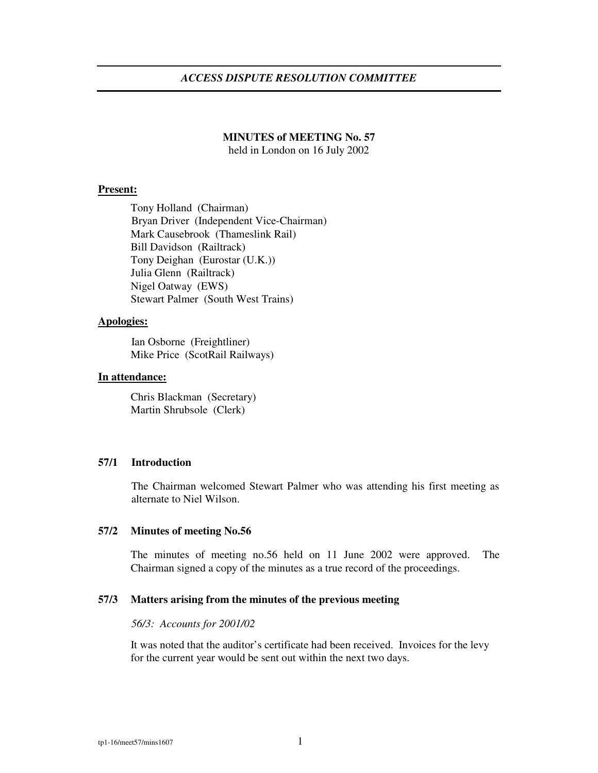# *ACCESS DISPUTE RESOLUTION COMMITTEE*

## **MINUTES of MEETING No. 57**

held in London on 16 July 2002

#### **Present:**

Tony Holland (Chairman) Bryan Driver (Independent Vice-Chairman) Mark Causebrook (Thameslink Rail) Bill Davidson (Railtrack) Tony Deighan (Eurostar (U.K.)) Julia Glenn (Railtrack) Nigel Oatway (EWS) Stewart Palmer (South West Trains)

## **Apologies:**

Ian Osborne (Freightliner) Mike Price (ScotRail Railways)

# **In attendance:**

Chris Blackman (Secretary) Martin Shrubsole (Clerk)

## **57/1 Introduction**

The Chairman welcomed Stewart Palmer who was attending his first meeting as alternate to Niel Wilson.

## **57/2 Minutes of meeting No.56**

The minutes of meeting no.56 held on 11 June 2002 were approved. The Chairman signed a copy of the minutes as a true record of the proceedings.

#### **57/3 Matters arising from the minutes of the previous meeting**

#### *56/3: Accounts for 2001/02*

It was noted that the auditor's certificate had been received. Invoices for the levy for the current year would be sent out within the next two days.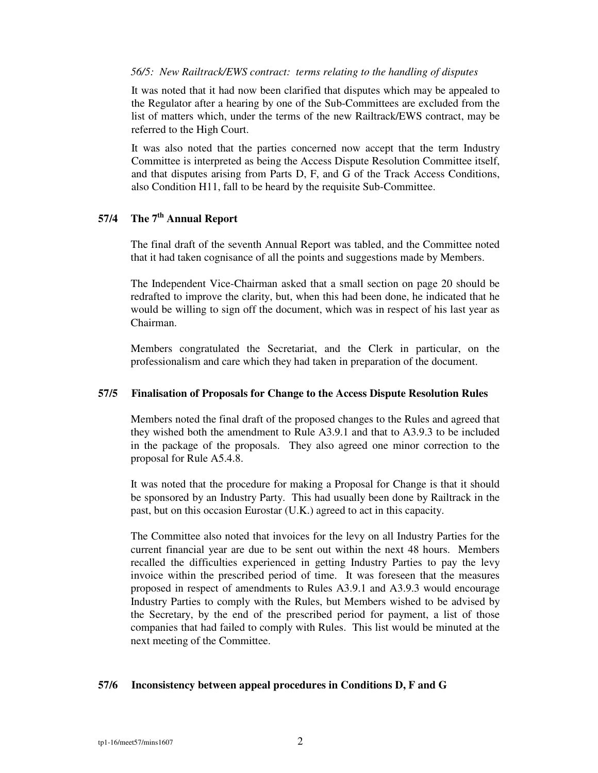## *56/5: New Railtrack/EWS contract: terms relating to the handling of disputes*

It was noted that it had now been clarified that disputes which may be appealed to the Regulator after a hearing by one of the Sub-Committees are excluded from the list of matters which, under the terms of the new Railtrack/EWS contract, may be referred to the High Court.

It was also noted that the parties concerned now accept that the term Industry Committee is interpreted as being the Access Dispute Resolution Committee itself, and that disputes arising from Parts D, F, and G of the Track Access Conditions, also Condition H11, fall to be heard by the requisite Sub-Committee.

# **57/4 The 7 th Annual Report**

The final draft of the seventh Annual Report was tabled, and the Committee noted that it had taken cognisance of all the points and suggestions made by Members.

The Independent Vice-Chairman asked that a small section on page 20 should be redrafted to improve the clarity, but, when this had been done, he indicated that he would be willing to sign off the document, which was in respect of his last year as Chairman.

Members congratulated the Secretariat, and the Clerk in particular, on the professionalism and care which they had taken in preparation of the document.

## **57/5 Finalisation of Proposals for Change to the Access Dispute Resolution Rules**

Members noted the final draft of the proposed changes to the Rules and agreed that they wished both the amendment to Rule A3.9.1 and that to A3.9.3 to be included in the package of the proposals. They also agreed one minor correction to the proposal for Rule A5.4.8.

It was noted that the procedure for making a Proposal for Change is that it should be sponsored by an Industry Party. This had usually been done by Railtrack in the past, but on this occasion Eurostar (U.K.) agreed to act in this capacity.

The Committee also noted that invoices for the levy on all Industry Parties for the current financial year are due to be sent out within the next 48 hours. Members recalled the difficulties experienced in getting Industry Parties to pay the levy invoice within the prescribed period of time. It was foreseen that the measures proposed in respect of amendments to Rules A3.9.1 and A3.9.3 would encourage Industry Parties to comply with the Rules, but Members wished to be advised by the Secretary, by the end of the prescribed period for payment, a list of those companies that had failed to comply with Rules. This list would be minuted at the next meeting of the Committee.

## **57/6 Inconsistency between appeal procedures in Conditions D, F and G**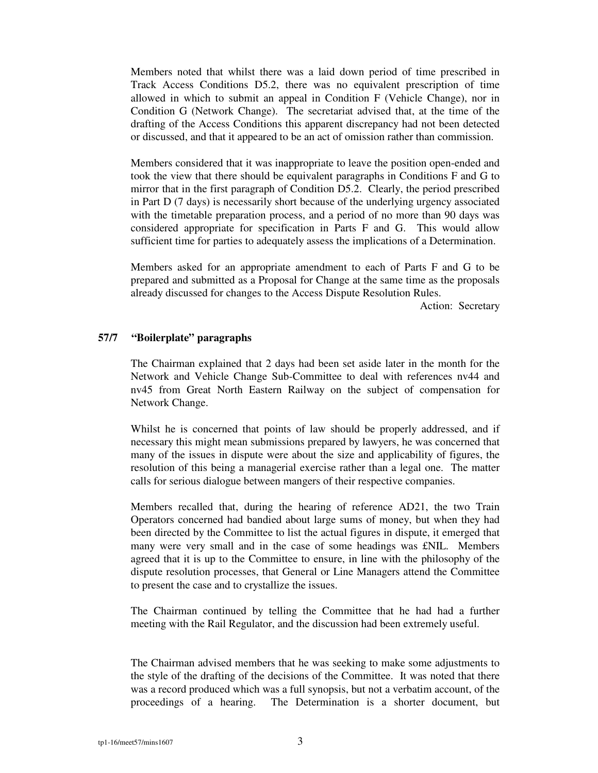Members noted that whilst there was a laid down period of time prescribed in Track Access Conditions D5.2, there was no equivalent prescription of time allowed in which to submit an appeal in Condition F (Vehicle Change), nor in Condition G (Network Change). The secretariat advised that, at the time of the drafting of the Access Conditions this apparent discrepancy had not been detected or discussed, and that it appeared to be an act of omission rather than commission.

Members considered that it was inappropriate to leave the position open-ended and took the view that there should be equivalent paragraphs in Conditions F and G to mirror that in the first paragraph of Condition D5.2. Clearly, the period prescribed in Part D (7 days) is necessarily short because of the underlying urgency associated with the timetable preparation process, and a period of no more than 90 days was considered appropriate for specification in Parts F and G. This would allow sufficient time for parties to adequately assess the implications of a Determination.

Members asked for an appropriate amendment to each of Parts F and G to be prepared and submitted as a Proposal for Change at the same time as the proposals already discussed for changes to the Access Dispute Resolution Rules.

Action: Secretary

## **57/7 "Boilerplate" paragraphs**

The Chairman explained that 2 days had been set aside later in the month for the Network and Vehicle Change Sub-Committee to deal with references nv44 and nv45 from Great North Eastern Railway on the subject of compensation for Network Change.

Whilst he is concerned that points of law should be properly addressed, and if necessary this might mean submissions prepared by lawyers, he was concerned that many of the issues in dispute were about the size and applicability of figures, the resolution of this being a managerial exercise rather than a legal one. The matter calls for serious dialogue between mangers of their respective companies.

Members recalled that, during the hearing of reference AD21, the two Train Operators concerned had bandied about large sums of money, but when they had been directed by the Committee to list the actual figures in dispute, it emerged that many were very small and in the case of some headings was £NIL. Members agreed that it is up to the Committee to ensure, in line with the philosophy of the dispute resolution processes, that General or Line Managers attend the Committee to present the case and to crystallize the issues.

The Chairman continued by telling the Committee that he had had a further meeting with the Rail Regulator, and the discussion had been extremely useful.

The Chairman advised members that he was seeking to make some adjustments to the style of the drafting of the decisions of the Committee. It was noted that there was a record produced which was a full synopsis, but not a verbatim account, of the proceedings of a hearing. The Determination is a shorter document, but